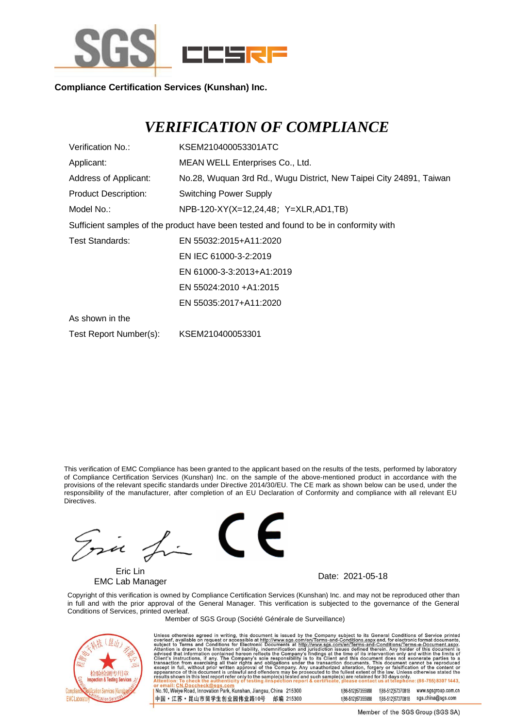

**Compliance Certification Services (Kunshan) Inc.**

## *VERIFICATION OF COMPLIANCE*

| Verification No.:           | KSEM210400053301ATC                                                                   |
|-----------------------------|---------------------------------------------------------------------------------------|
| Applicant:                  | MEAN WELL Enterprises Co., Ltd.                                                       |
| Address of Applicant:       | No.28, Wuquan 3rd Rd., Wugu District, New Taipei City 24891, Taiwan                   |
| <b>Product Description:</b> | <b>Switching Power Supply</b>                                                         |
| Model No.:                  | NPB-120-XY(X=12,24,48; Y=XLR,AD1,TB)                                                  |
|                             | Sufficient samples of the product have been tested and found to be in conformity with |
| Test Standards:             | EN 55032:2015+A11:2020                                                                |
|                             | EN IEC 61000-3-2:2019                                                                 |
|                             | EN 61000-3-3:2013+A1:2019                                                             |
|                             | EN 55024:2010 + A1:2015                                                               |
|                             | EN 55035:2017+A11:2020                                                                |
| As shown in the             |                                                                                       |
| Test Report Number(s):      | KSEM210400053301                                                                      |

This verification of EMC Compliance has been granted to the applicant based on the results of the tests, performed by laboratory of Compliance Certification Services (Kunshan) Inc. on the sample of the above-mentioned product in accordance with the provisions of the relevant specific standards under Directive 2014/30/EU. The CE mark as shown below can be used, under the responsibility of the manufacturer, after completion of an EU Declaration of Conformity and compliance with all relevant EU Directives.

Ina

Eric Lin EMC Lab Manager **EMC Lab Manager** Date: 2021-05-18



Copyright of this verification is owned by Compliance Certification Services (Kunshan) Inc. and may not be reproduced other than in full and with the prior approval of the General Manager. This verification is subjected to the governance of the General Conditions of Services, printed overleaf.

Member of SGS Group (Société Générale de Surveillance)



Unless otherwise agreed in writing, this document is issued by the Company subject to its General Conditions of Service printed<br>overleaf, available on request or accessible at <u>http://www.sgs.com/en/Terms-and-Conditions.as</u>

No.10, Weiye Road, Innovation Park, Kunshan, Jiangsu, China 215300 中国·江苏·昆山市留学生创业园伟业路10号 邮编 215300 t(86-512)57355888 f(86-512)57370818 www.sgsgroup.com.cn t(86-512)57355888 f(86-512)57370818 sgs.china@sgs.com